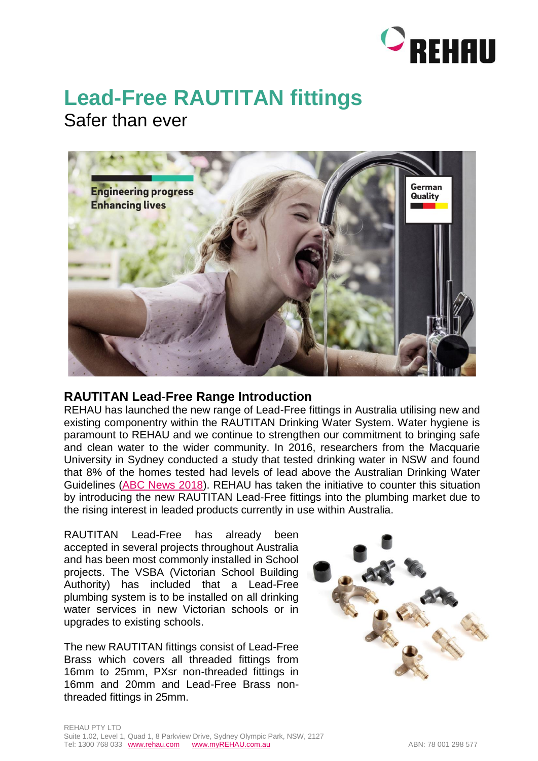

## **Lead-Free RAUTITAN fittings**

Safer than ever



## **RAUTITAN Lead-Free Range Introduction**

REHAU has launched the new range of Lead-Free fittings in Australia utilising new and existing componentry within the RAUTITAN Drinking Water System. Water hygiene is paramount to REHAU and we continue to strengthen our commitment to bringing safe and clean water to the wider community. In 2016, researchers from the Macquarie University in Sydney conducted a study that tested drinking water in NSW and found that 8% of the homes tested had levels of lead above the Australian Drinking Water Guidelines [\(ABC News 2018\)](https://www.abc.net.au/news/abc-local/2018-07-06/lead-leached-by-brass-shuts-fountains-but-what-about-homes/9886518). REHAU has taken the initiative to counter this situation by introducing the new RAUTITAN Lead-Free fittings into the plumbing market due to the rising interest in leaded products currently in use within Australia.

RAUTITAN Lead-Free has already been accepted in several projects throughout Australia and has been most commonly installed in School projects. The VSBA (Victorian School Building Authority) has included that a Lead-Free plumbing system is to be installed on all drinking water services in new Victorian schools or in upgrades to existing schools.

The new RAUTITAN fittings consist of Lead-Free Brass which covers all threaded fittings from 16mm to 25mm, PXsr non-threaded fittings in 16mm and 20mm and Lead-Free Brass nonthreaded fittings in 25mm.